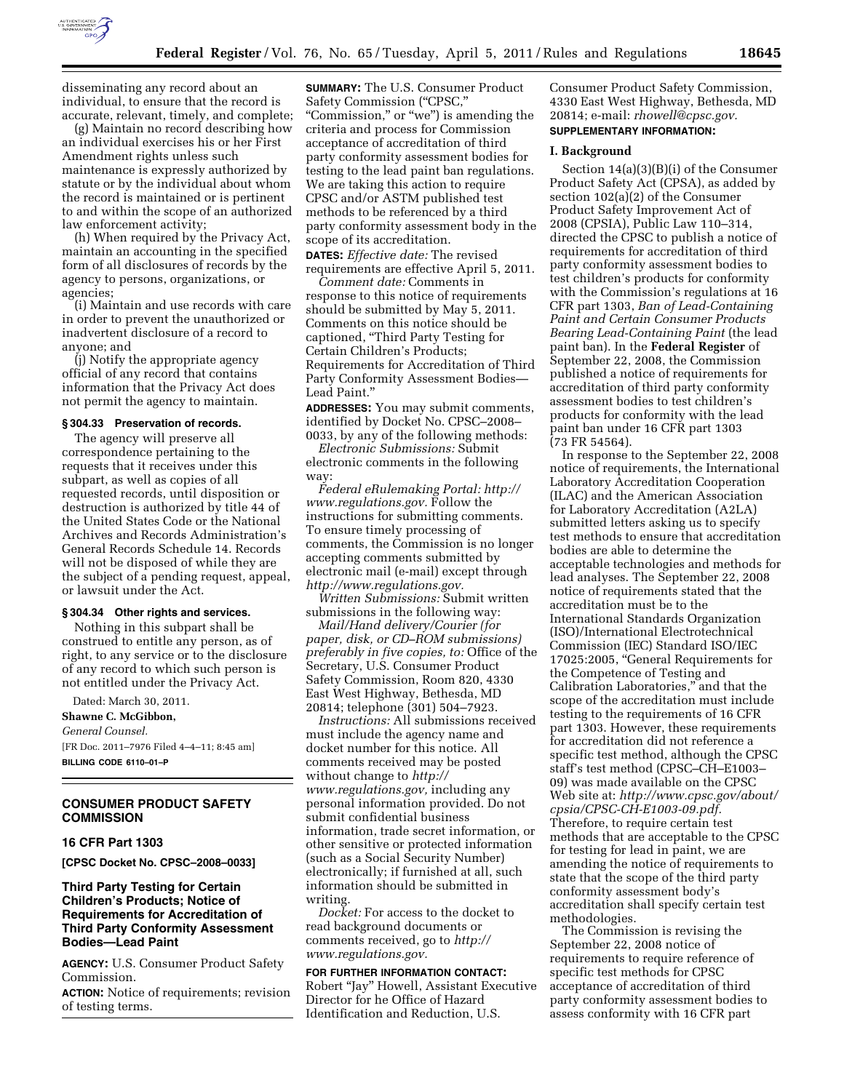

disseminating any record about an individual, to ensure that the record is accurate, relevant, timely, and complete;

(g) Maintain no record describing how an individual exercises his or her First Amendment rights unless such maintenance is expressly authorized by statute or by the individual about whom the record is maintained or is pertinent to and within the scope of an authorized law enforcement activity;

(h) When required by the Privacy Act, maintain an accounting in the specified form of all disclosures of records by the agency to persons, organizations, or agencies;

(i) Maintain and use records with care in order to prevent the unauthorized or inadvertent disclosure of a record to anyone; and

(j) Notify the appropriate agency official of any record that contains information that the Privacy Act does not permit the agency to maintain.

#### **§ 304.33 Preservation of records.**

The agency will preserve all correspondence pertaining to the requests that it receives under this subpart, as well as copies of all requested records, until disposition or destruction is authorized by title 44 of the United States Code or the National Archives and Records Administration's General Records Schedule 14. Records will not be disposed of while they are the subject of a pending request, appeal, or lawsuit under the Act.

#### **§ 304.34 Other rights and services.**

Nothing in this subpart shall be construed to entitle any person, as of right, to any service or to the disclosure of any record to which such person is not entitled under the Privacy Act.

Dated: March 30, 2011.

**Shawne C. McGibbon,**  *General Counsel.*  [FR Doc. 2011–7976 Filed 4–4–11; 8:45 am] **BILLING CODE 6110–01–P** 

**CONSUMER PRODUCT SAFETY COMMISSION** 

### **16 CFR Part 1303**

**[CPSC Docket No. CPSC–2008–0033]** 

## **Third Party Testing for Certain Children's Products; Notice of Requirements for Accreditation of Third Party Conformity Assessment Bodies—Lead Paint**

**AGENCY:** U.S. Consumer Product Safety Commission.

**ACTION:** Notice of requirements; revision of testing terms.

**SUMMARY:** The U.S. Consumer Product Safety Commission ("CPSC," "Commission," or "we") is amending the criteria and process for Commission acceptance of accreditation of third party conformity assessment bodies for testing to the lead paint ban regulations. We are taking this action to require CPSC and/or ASTM published test methods to be referenced by a third party conformity assessment body in the scope of its accreditation.

**DATES:** *Effective date:* The revised requirements are effective April 5, 2011.

*Comment date:* Comments in response to this notice of requirements should be submitted by May 5, 2011. Comments on this notice should be captioned, ''Third Party Testing for Certain Children's Products; Requirements for Accreditation of Third Party Conformity Assessment Bodies— Lead Paint.''

**ADDRESSES:** You may submit comments, identified by Docket No. CPSC–2008– 0033, by any of the following methods:

*Electronic Submissions:* Submit electronic comments in the following way:

*Federal eRulemaking Portal: [http://](http://www.regulations.gov)  [www.regulations.gov.](http://www.regulations.gov)* Follow the instructions for submitting comments. To ensure timely processing of comments, the Commission is no longer accepting comments submitted by electronic mail (e-mail) except through *[http://www.regulations.gov.](http://www.regulations.gov)* 

*Written Submissions:* Submit written submissions in the following way:

*Mail/Hand delivery/Courier (for paper, disk, or CD–ROM submissions) preferably in five copies, to:* Office of the Secretary, U.S. Consumer Product Safety Commission, Room 820, 4330 East West Highway, Bethesda, MD 20814; telephone (301) 504–7923.

*Instructions:* All submissions received must include the agency name and docket number for this notice. All comments received may be posted without change to *[http://](http://www.regulations.gov) [www.regulations.gov,](http://www.regulations.gov)* including any personal information provided. Do not submit confidential business information, trade secret information, or other sensitive or protected information (such as a Social Security Number) electronically; if furnished at all, such information should be submitted in writing.

*Docket:* For access to the docket to read background documents or comments received, go to *[http://](http://www.regulations.gov)  [www.regulations.gov.](http://www.regulations.gov)* 

### **FOR FURTHER INFORMATION CONTACT:**

Robert ''Jay'' Howell, Assistant Executive Director for he Office of Hazard Identification and Reduction, U.S.

Consumer Product Safety Commission, 4330 East West Highway, Bethesda, MD 20814; e-mail: *[rhowell@cpsc.gov.](mailto:rhowell@cpsc.gov)*  **SUPPLEMENTARY INFORMATION:** 

## **I. Background**

Section 14(a)(3)(B)(i) of the Consumer Product Safety Act (CPSA), as added by section 102(a)(2) of the Consumer Product Safety Improvement Act of 2008 (CPSIA), Public Law 110–314, directed the CPSC to publish a notice of requirements for accreditation of third party conformity assessment bodies to test children's products for conformity with the Commission's regulations at 16 CFR part 1303, *Ban of Lead-Containing Paint and Certain Consumer Products Bearing Lead-Containing Paint* (the lead paint ban). In the **Federal Register** of September 22, 2008, the Commission published a notice of requirements for accreditation of third party conformity assessment bodies to test children's products for conformity with the lead paint ban under 16 CFR part 1303 (73 FR 54564).

In response to the September 22, 2008 notice of requirements, the International Laboratory Accreditation Cooperation (ILAC) and the American Association for Laboratory Accreditation (A2LA) submitted letters asking us to specify test methods to ensure that accreditation bodies are able to determine the acceptable technologies and methods for lead analyses. The September 22, 2008 notice of requirements stated that the accreditation must be to the International Standards Organization (ISO)/International Electrotechnical Commission (IEC) Standard ISO/IEC 17025:2005, ''General Requirements for the Competence of Testing and Calibration Laboratories,'' and that the scope of the accreditation must include testing to the requirements of 16 CFR part 1303. However, these requirements for accreditation did not reference a specific test method, although the CPSC staff's test method (CPSC–CH–E1003– 09) was made available on the CPSC Web site at: *[http://www.cpsc.gov/about/](http://www.cpsc.gov/about/cpsia/CPSC-CH-E1003-09.pdf)  [cpsia/CPSC-CH-E1003-09.pdf.](http://www.cpsc.gov/about/cpsia/CPSC-CH-E1003-09.pdf)*  Therefore, to require certain test methods that are acceptable to the CPSC for testing for lead in paint, we are amending the notice of requirements to state that the scope of the third party conformity assessment body's accreditation shall specify certain test methodologies.

The Commission is revising the September 22, 2008 notice of requirements to require reference of specific test methods for CPSC acceptance of accreditation of third party conformity assessment bodies to assess conformity with 16 CFR part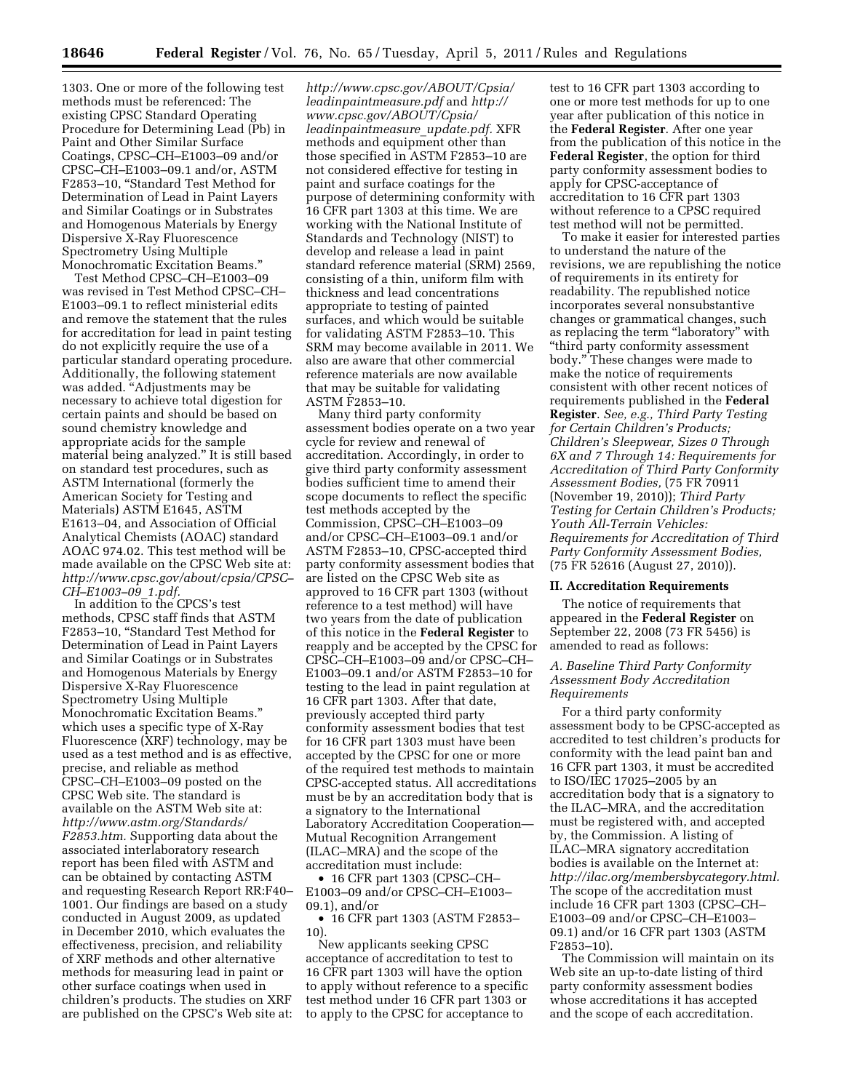1303. One or more of the following test methods must be referenced: The existing CPSC Standard Operating Procedure for Determining Lead (Pb) in Paint and Other Similar Surface Coatings, CPSC–CH–E1003–09 and/or CPSC–CH–E1003–09.1 and/or, ASTM F2853–10, ''Standard Test Method for Determination of Lead in Paint Layers and Similar Coatings or in Substrates and Homogenous Materials by Energy Dispersive X-Ray Fluorescence Spectrometry Using Multiple Monochromatic Excitation Beams.''

Test Method CPSC–CH–E1003–09 was revised in Test Method CPSC–CH– E1003–09.1 to reflect ministerial edits and remove the statement that the rules for accreditation for lead in paint testing do not explicitly require the use of a particular standard operating procedure. Additionally, the following statement was added. ''Adjustments may be necessary to achieve total digestion for certain paints and should be based on sound chemistry knowledge and appropriate acids for the sample material being analyzed.'' It is still based on standard test procedures, such as ASTM International (formerly the American Society for Testing and Materials) ASTM E1645, ASTM E1613–04, and Association of Official Analytical Chemists (AOAC) standard AOAC 974.02. This test method will be made available on the CPSC Web site at: *[http://www.cpsc.gov/about/cpsia/CPSC–](http://www.cpsc.gov/about/cpsia/CPSC-CH-E1003-09_1.pdf) [CH–E1003–09](http://www.cpsc.gov/about/cpsia/CPSC-CH-E1003-09_1.pdf)*\_*1.pdf.* 

In addition to the CPCS's test methods, CPSC staff finds that ASTM F2853–10, ''Standard Test Method for Determination of Lead in Paint Layers and Similar Coatings or in Substrates and Homogenous Materials by Energy Dispersive X-Ray Fluorescence Spectrometry Using Multiple Monochromatic Excitation Beams.'' which uses a specific type of X-Ray Fluorescence (XRF) technology, may be used as a test method and is as effective, precise, and reliable as method CPSC–CH–E1003–09 posted on the CPSC Web site. The standard is available on the ASTM Web site at: *[http://www.astm.org/Standards/](http://www.astm.org/Standards/F2853.htm) [F2853.htm.](http://www.astm.org/Standards/F2853.htm)* Supporting data about the associated interlaboratory research report has been filed with ASTM and can be obtained by contacting ASTM and requesting Research Report RR:F40– 1001. Our findings are based on a study conducted in August 2009, as updated in December 2010, which evaluates the effectiveness, precision, and reliability of XRF methods and other alternative methods for measuring lead in paint or other surface coatings when used in children's products. The studies on XRF are published on the CPSC's Web site at:

*[http://www.cpsc.gov/ABOUT/Cpsia/](http://www.cpsc.gov/ABOUT/Cpsia/leadinpaintmeasure.pdf) [leadinpaintmeasure.pdf](http://www.cpsc.gov/ABOUT/Cpsia/leadinpaintmeasure.pdf)* and *[http://](http://www.cpsc.gov/ABOUT/Cpsia/leadinpaintmeasure_update.pdf) [www.cpsc.gov/ABOUT/Cpsia/](http://www.cpsc.gov/ABOUT/Cpsia/leadinpaintmeasure_update.pdf)  [leadinpaintmeasure](http://www.cpsc.gov/ABOUT/Cpsia/leadinpaintmeasure_update.pdf)*\_*update.pdf.* XFR methods and equipment other than those specified in ASTM F2853–10 are not considered effective for testing in paint and surface coatings for the purpose of determining conformity with 16 CFR part 1303 at this time. We are working with the National Institute of Standards and Technology (NIST) to develop and release a lead in paint standard reference material (SRM) 2569, consisting of a thin, uniform film with thickness and lead concentrations appropriate to testing of painted surfaces, and which would be suitable for validating ASTM F2853–10. This SRM may become available in 2011. We also are aware that other commercial reference materials are now available that may be suitable for validating ASTM F2853–10.

Many third party conformity assessment bodies operate on a two year cycle for review and renewal of accreditation. Accordingly, in order to give third party conformity assessment bodies sufficient time to amend their scope documents to reflect the specific test methods accepted by the Commission, CPSC–CH–E1003–09 and/or CPSC–CH–E1003–09.1 and/or ASTM F2853–10, CPSC-accepted third party conformity assessment bodies that are listed on the CPSC Web site as approved to 16 CFR part 1303 (without reference to a test method) will have two years from the date of publication of this notice in the **Federal Register** to reapply and be accepted by the CPSC for CPSC–CH–E1003–09 and/or CPSC–CH– E1003–09.1 and/or ASTM F2853–10 for testing to the lead in paint regulation at 16 CFR part 1303. After that date, previously accepted third party conformity assessment bodies that test for 16 CFR part 1303 must have been accepted by the CPSC for one or more of the required test methods to maintain CPSC-accepted status. All accreditations must be by an accreditation body that is a signatory to the International Laboratory Accreditation Cooperation— Mutual Recognition Arrangement (ILAC–MRA) and the scope of the accreditation must include:

• 16 CFR part 1303 (CPSC–CH– E1003–09 and/or CPSC–CH–E1003– 09.1), and/or

• 16 CFR part 1303 (ASTM F2853– 10).

New applicants seeking CPSC acceptance of accreditation to test to 16 CFR part 1303 will have the option to apply without reference to a specific test method under 16 CFR part 1303 or to apply to the CPSC for acceptance to

test to 16 CFR part 1303 according to one or more test methods for up to one year after publication of this notice in the **Federal Register**. After one year from the publication of this notice in the **Federal Register**, the option for third party conformity assessment bodies to apply for CPSC-acceptance of accreditation to 16 CFR part 1303 without reference to a CPSC required test method will not be permitted.

To make it easier for interested parties to understand the nature of the revisions, we are republishing the notice of requirements in its entirety for readability. The republished notice incorporates several nonsubstantive changes or grammatical changes, such as replacing the term "laboratory" with ''third party conformity assessment body.'' These changes were made to make the notice of requirements consistent with other recent notices of requirements published in the **Federal Register**. *See, e.g., Third Party Testing for Certain Children's Products; Children's Sleepwear, Sizes 0 Through 6X and 7 Through 14: Requirements for Accreditation of Third Party Conformity Assessment Bodies,* (75 FR 70911 (November 19, 2010)); *Third Party Testing for Certain Children's Products; Youth All-Terrain Vehicles: Requirements for Accreditation of Third Party Conformity Assessment Bodies,*  (75 FR 52616 (August 27, 2010)).

### **II. Accreditation Requirements**

The notice of requirements that appeared in the **Federal Register** on September 22, 2008 (73 FR 5456) is amended to read as follows:

## *A. Baseline Third Party Conformity Assessment Body Accreditation Requirements*

For a third party conformity assessment body to be CPSC-accepted as accredited to test children's products for conformity with the lead paint ban and 16 CFR part 1303, it must be accredited to ISO/IEC 17025–2005 by an accreditation body that is a signatory to the ILAC–MRA, and the accreditation must be registered with, and accepted by, the Commission. A listing of ILAC–MRA signatory accreditation bodies is available on the Internet at: *[http://ilac.org/membersbycategory.html.](http://ilac.org/membersbycategory.html)*  The scope of the accreditation must include 16 CFR part 1303 (CPSC–CH– E1003–09 and/or CPSC–CH–E1003– 09.1) and/or 16 CFR part 1303 (ASTM F2853–10).

The Commission will maintain on its Web site an up-to-date listing of third party conformity assessment bodies whose accreditations it has accepted and the scope of each accreditation.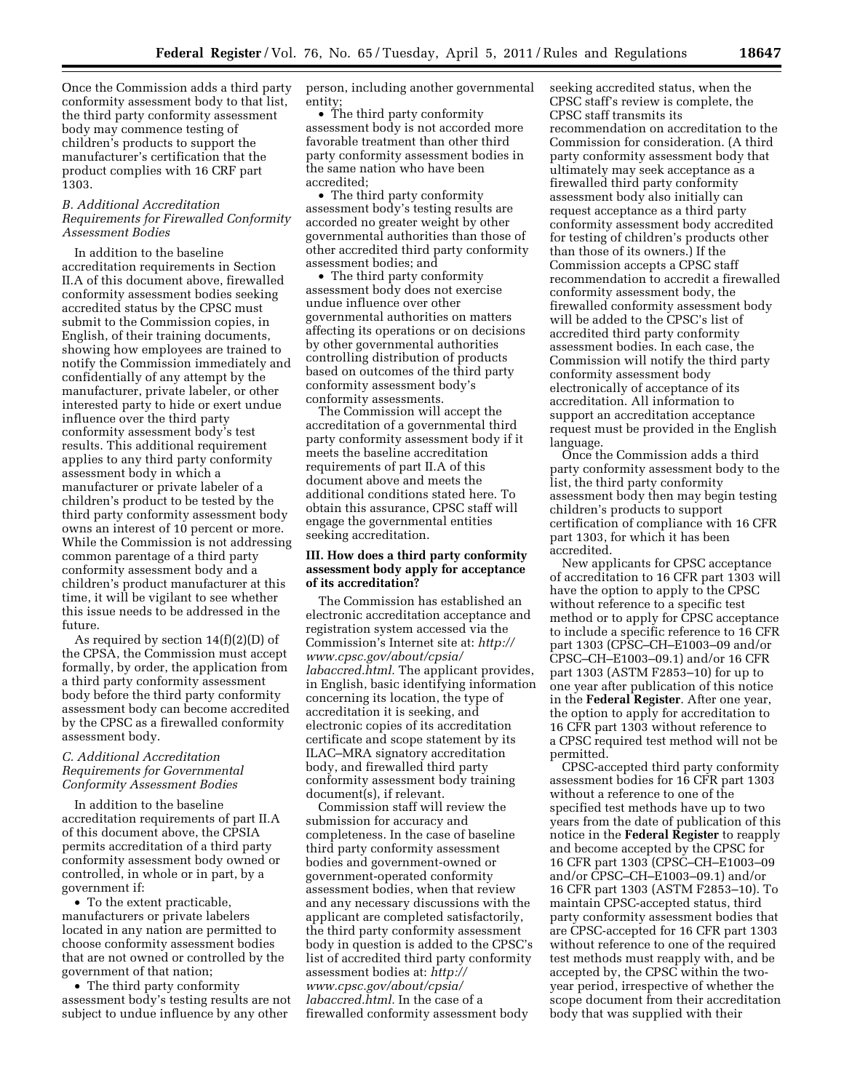Once the Commission adds a third party conformity assessment body to that list, the third party conformity assessment body may commence testing of children's products to support the manufacturer's certification that the product complies with 16 CRF part 1303.

## *B. Additional Accreditation Requirements for Firewalled Conformity Assessment Bodies*

In addition to the baseline accreditation requirements in Section II.A of this document above, firewalled conformity assessment bodies seeking accredited status by the CPSC must submit to the Commission copies, in English, of their training documents, showing how employees are trained to notify the Commission immediately and confidentially of any attempt by the manufacturer, private labeler, or other interested party to hide or exert undue influence over the third party conformity assessment body's test results. This additional requirement applies to any third party conformity assessment body in which a manufacturer or private labeler of a children's product to be tested by the third party conformity assessment body owns an interest of 10 percent or more. While the Commission is not addressing common parentage of a third party conformity assessment body and a children's product manufacturer at this time, it will be vigilant to see whether this issue needs to be addressed in the future.

As required by section 14(f)(2)(D) of the CPSA, the Commission must accept formally, by order, the application from a third party conformity assessment body before the third party conformity assessment body can become accredited by the CPSC as a firewalled conformity assessment body.

## *C. Additional Accreditation Requirements for Governmental Conformity Assessment Bodies*

In addition to the baseline accreditation requirements of part II.A of this document above, the CPSIA permits accreditation of a third party conformity assessment body owned or controlled, in whole or in part, by a government if:

• To the extent practicable, manufacturers or private labelers located in any nation are permitted to choose conformity assessment bodies that are not owned or controlled by the government of that nation;

• The third party conformity assessment body's testing results are not subject to undue influence by any other

person, including another governmental entity;

• The third party conformity assessment body is not accorded more favorable treatment than other third party conformity assessment bodies in the same nation who have been accredited;

• The third party conformity assessment body's testing results are accorded no greater weight by other governmental authorities than those of other accredited third party conformity assessment bodies; and

• The third party conformity assessment body does not exercise undue influence over other governmental authorities on matters affecting its operations or on decisions by other governmental authorities controlling distribution of products based on outcomes of the third party conformity assessment body's conformity assessments.

The Commission will accept the accreditation of a governmental third party conformity assessment body if it meets the baseline accreditation requirements of part II.A of this document above and meets the additional conditions stated here. To obtain this assurance, CPSC staff will engage the governmental entities seeking accreditation.

## **III. How does a third party conformity assessment body apply for acceptance of its accreditation?**

The Commission has established an electronic accreditation acceptance and registration system accessed via the Commission's Internet site at: *[http://](http://www.cpsc.gov/about/cpsia/labaccred.html) [www.cpsc.gov/about/cpsia/](http://www.cpsc.gov/about/cpsia/labaccred.html) [labaccred.html.](http://www.cpsc.gov/about/cpsia/labaccred.html)* The applicant provides, in English, basic identifying information concerning its location, the type of accreditation it is seeking, and electronic copies of its accreditation certificate and scope statement by its ILAC–MRA signatory accreditation body, and firewalled third party conformity assessment body training document(s), if relevant.

Commission staff will review the submission for accuracy and completeness. In the case of baseline third party conformity assessment bodies and government-owned or government-operated conformity assessment bodies, when that review and any necessary discussions with the applicant are completed satisfactorily, the third party conformity assessment body in question is added to the CPSC's list of accredited third party conformity assessment bodies at: *[http://](http://www.cpsc.gov/about/cpsia/labaccred.html)  [www.cpsc.gov/about/cpsia/](http://www.cpsc.gov/about/cpsia/labaccred.html) [labaccred.html.](http://www.cpsc.gov/about/cpsia/labaccred.html)* In the case of a firewalled conformity assessment body

seeking accredited status, when the CPSC staff's review is complete, the CPSC staff transmits its recommendation on accreditation to the Commission for consideration. (A third party conformity assessment body that ultimately may seek acceptance as a firewalled third party conformity assessment body also initially can request acceptance as a third party conformity assessment body accredited for testing of children's products other than those of its owners.) If the Commission accepts a CPSC staff recommendation to accredit a firewalled conformity assessment body, the firewalled conformity assessment body will be added to the CPSC's list of accredited third party conformity assessment bodies. In each case, the Commission will notify the third party conformity assessment body electronically of acceptance of its accreditation. All information to support an accreditation acceptance request must be provided in the English language.

Once the Commission adds a third party conformity assessment body to the list, the third party conformity assessment body then may begin testing children's products to support certification of compliance with 16 CFR part 1303, for which it has been accredited.

New applicants for CPSC acceptance of accreditation to 16 CFR part 1303 will have the option to apply to the CPSC without reference to a specific test method or to apply for CPSC acceptance to include a specific reference to 16 CFR part 1303 (CPSC–CH–E1003–09 and/or CPSC–CH–E1003–09.1) and/or 16 CFR part 1303 (ASTM F2853–10) for up to one year after publication of this notice in the **Federal Register**. After one year, the option to apply for accreditation to 16 CFR part 1303 without reference to a CPSC required test method will not be permitted.

CPSC-accepted third party conformity assessment bodies for 16 CFR part 1303 without a reference to one of the specified test methods have up to two years from the date of publication of this notice in the **Federal Register** to reapply and become accepted by the CPSC for 16 CFR part 1303 (CPSC–CH–E1003–09 and/or CPSC–CH–E1003–09.1) and/or 16 CFR part 1303 (ASTM F2853–10). To maintain CPSC-accepted status, third party conformity assessment bodies that are CPSC-accepted for 16 CFR part 1303 without reference to one of the required test methods must reapply with, and be accepted by, the CPSC within the twoyear period, irrespective of whether the scope document from their accreditation body that was supplied with their